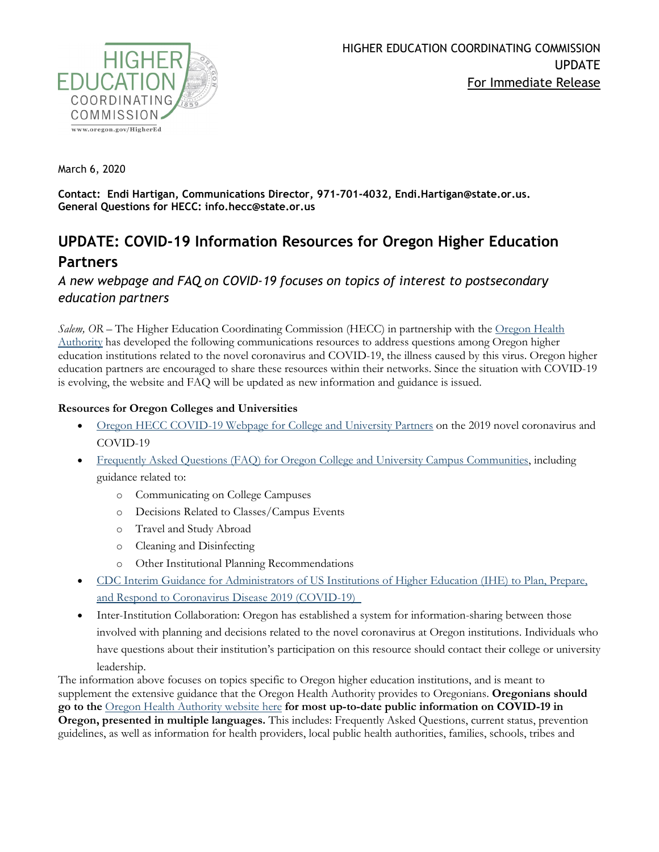

March 6, 2020

**Contact: Endi Hartigan, Communications Director, 971-701-4032, Endi.Hartigan@state.or.us. General Questions for HECC: info.hecc@state.or.us**

## **UPDATE: COVID-19 Information Resources for Oregon Higher Education Partners**

*A new webpage and FAQ on COVID-19 focuses on topics of interest to postsecondary education partners*

*Salem, OR* – The Higher Education Coordinating Commission (HECC) in partnership with the <u>Oregon Health</u> [Authority](https://www.oregon.gov/oha/PH/DISEASESCONDITIONS/DISEASESAZ/Pages/emerging-respiratory-infections.aspx) has developed the following communications resources to address questions among Oregon higher education institutions related to the novel coronavirus and COVID-19, the illness caused by this virus. Oregon higher education partners are encouraged to share these resources within their networks. Since the situation with COVID-19 is evolving, the website and FAQ will be updated as new information and guidance is issued.

## **Resources for Oregon Colleges and Universities**

- [Oregon HECC COVID-19 Webpage for College and University Partners](https://www.oregon.gov/highered/about/Pages/COVID19.aspx) on the 2019 novel coronavirus and COVID-19
- [Frequently Asked Questions \(FAQ\) for Oregon College and University Campus Communities,](https://www.oregon.gov/highered/about/Documents/News-Updates/FAQ-Higher-Ed-COVID-19-final.pdf) including guidance related to:
	- o Communicating on College Campuses
	- o Decisions Related to Classes/Campus Events
	- o Travel and Study Abroad
	- o Cleaning and Disinfecting
	- o Other Institutional Planning Recommendations
- [CDC Interim Guidance for Administrators of US Institutions of Higher Education \(IHE\) to Plan, Prepare,](https://www.cdc.gov/coronavirus/2019-ncov/community/guidance-ihe-response.html)  [and Respond to Coronavirus Disease 2019 \(COVID-19\)](https://www.cdc.gov/coronavirus/2019-ncov/community/guidance-ihe-response.html)
- Inter-Institution Collaboration: Oregon has established a system for information-sharing between those involved with planning and decisions related to the novel coronavirus at Oregon institutions. Individuals who have questions about their institution's participation on this resource should contact their college or university leadership.

The information above focuses on topics specific to Oregon higher education institutions, and is meant to supplement the extensive guidance that the Oregon Health Authority provides to Oregonians. **Oregonians should go to the** [Oregon Health Authority website here](https://www.oregon.gov/oha/PH/DISEASESCONDITIONS/DISEASESAZ/Pages/emerging-respiratory-infections.aspx) **for most up-to-date public information on COVID-19 in Oregon, presented in multiple languages.** This includes: Frequently Asked Questions, current status, prevention guidelines, as well as information for health providers, local public health authorities, families, schools, tribes and